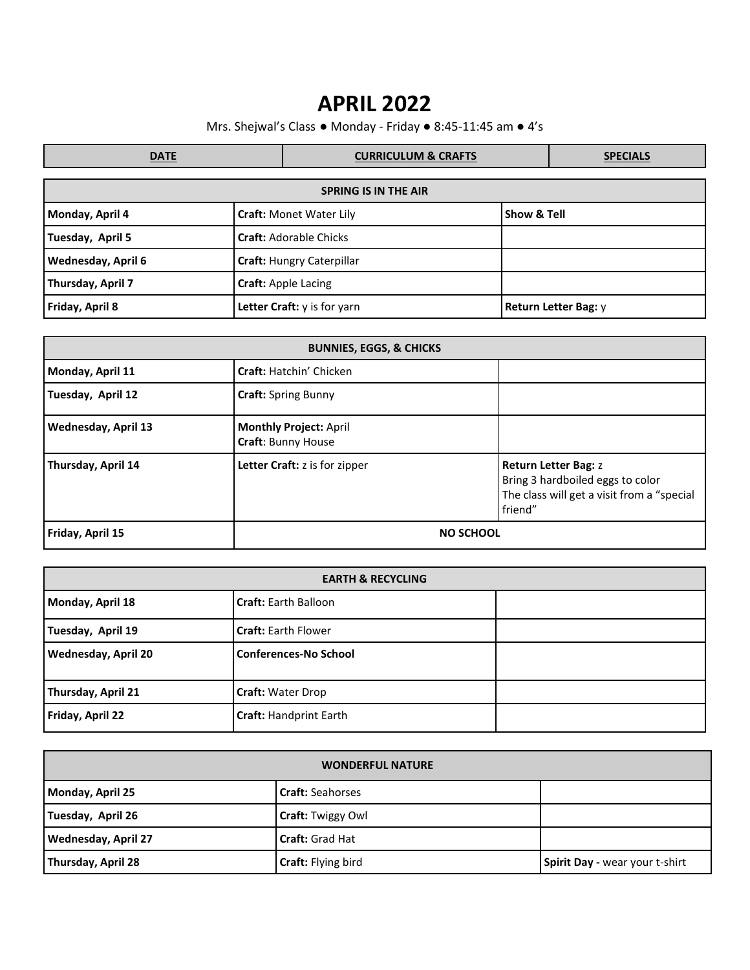## **APRIL 2022**

Mrs. Shejwal's Class ● Monday - Friday ● 8:45-11:45 am ● 4's

| <b>DATE</b>                 |                                  | <b>CURRICULUM &amp; CRAFTS</b> |             | <b>SPECIALS</b>      |  |
|-----------------------------|----------------------------------|--------------------------------|-------------|----------------------|--|
| <b>SPRING IS IN THE AIR</b> |                                  |                                |             |                      |  |
| Monday, April 4             | <b>Craft: Monet Water Lily</b>   |                                | Show & Tell |                      |  |
| Tuesday, April 5            | <b>Craft: Adorable Chicks</b>    |                                |             |                      |  |
| Wednesday, April 6          | <b>Craft: Hungry Caterpillar</b> |                                |             |                      |  |
| Thursday, April 7           | Craft: Apple Lacing              |                                |             |                      |  |
| Friday, April 8             | Letter Craft: y is for yarn      |                                |             | Return Letter Bag: y |  |

| <b>BUNNIES, EGGS, &amp; CHICKS</b> |                                                     |                                                                                                                          |  |  |
|------------------------------------|-----------------------------------------------------|--------------------------------------------------------------------------------------------------------------------------|--|--|
| Monday, April 11                   | Craft: Hatchin' Chicken                             |                                                                                                                          |  |  |
| Tuesday, April 12                  | <b>Craft:</b> Spring Bunny                          |                                                                                                                          |  |  |
| <b>Wednesday, April 13</b>         | <b>Monthly Project: April</b><br>Craft: Bunny House |                                                                                                                          |  |  |
| Thursday, April 14                 | <b>Letter Craft:</b> z is for zipper                | <b>Return Letter Bag: z</b><br>Bring 3 hardboiled eggs to color<br>The class will get a visit from a "special<br>friend" |  |  |
| Friday, April 15                   | <b>NO SCHOOL</b>                                    |                                                                                                                          |  |  |

| <b>EARTH &amp; RECYCLING</b> |                               |  |  |  |
|------------------------------|-------------------------------|--|--|--|
| Monday, April 18             | <b>Craft: Earth Balloon</b>   |  |  |  |
| Tuesday, April 19            | <b>Craft: Earth Flower</b>    |  |  |  |
| <b>Wednesday, April 20</b>   | <b>Conferences-No School</b>  |  |  |  |
| Thursday, April 21           | <b>Craft: Water Drop</b>      |  |  |  |
| Friday, April 22             | <b>Craft: Handprint Earth</b> |  |  |  |

| <b>WONDERFUL NATURE</b>    |                           |                                |  |  |
|----------------------------|---------------------------|--------------------------------|--|--|
| Monday, April 25           | <b>Craft: Seahorses</b>   |                                |  |  |
| Tuesday, April 26          | <b>Craft: Twiggy Owl</b>  |                                |  |  |
| <b>Wednesday, April 27</b> | <b>Craft: Grad Hat</b>    |                                |  |  |
| Thursday, April 28         | <b>Craft: Flying bird</b> | Spirit Day - wear your t-shirt |  |  |